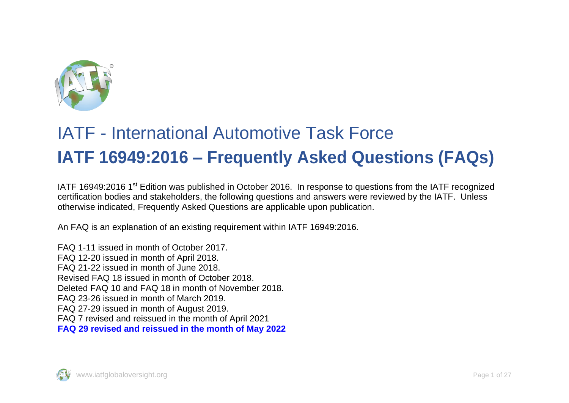

## IATF - International Automotive Task Force **IATF 16949:2016 – Frequently Asked Questions (FAQs)**

IATF 16949:2016 1<sup>st</sup> Edition was published in October 2016. In response to questions from the IATF recognized certification bodies and stakeholders, the following questions and answers were reviewed by the IATF. Unless otherwise indicated, Frequently Asked Questions are applicable upon publication.

An FAQ is an explanation of an existing requirement within IATF 16949:2016.

FAQ 1-11 issued in month of October 2017. FAQ 12-20 issued in month of April 2018. FAQ 21-22 issued in month of June 2018. Revised FAQ 18 issued in month of October 2018. Deleted FAQ 10 and FAQ 18 in month of November 2018. FAQ 23-26 issued in month of March 2019. FAQ 27-29 issued in month of August 2019. FAQ 7 revised and reissued in the month of April 2021 **FAQ 29 revised and reissued in the month of May 2022**

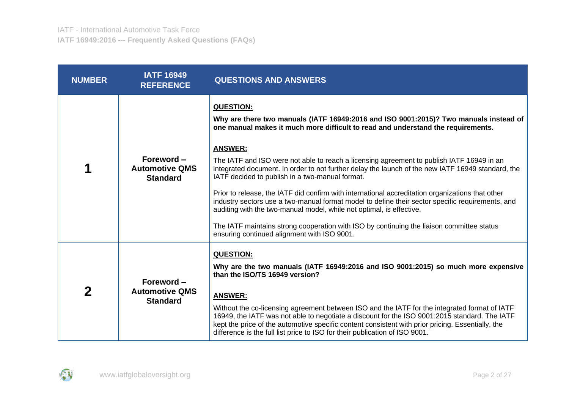| <b>NUMBER</b> | <b>IATF 16949</b><br><b>REFERENCE</b>                  | <b>QUESTIONS AND ANSWERS</b>                                                                                                                                                                                                                                                                                                                                                                                                                                                                                                                                                                                                                                                                                                                                                                                                                                                                     |
|---------------|--------------------------------------------------------|--------------------------------------------------------------------------------------------------------------------------------------------------------------------------------------------------------------------------------------------------------------------------------------------------------------------------------------------------------------------------------------------------------------------------------------------------------------------------------------------------------------------------------------------------------------------------------------------------------------------------------------------------------------------------------------------------------------------------------------------------------------------------------------------------------------------------------------------------------------------------------------------------|
|               | Foreword -<br><b>Automotive QMS</b><br><b>Standard</b> | <b>QUESTION:</b><br>Why are there two manuals (IATF 16949:2016 and ISO 9001:2015)? Two manuals instead of<br>one manual makes it much more difficult to read and understand the requirements.<br><b>ANSWER:</b><br>The IATF and ISO were not able to reach a licensing agreement to publish IATF 16949 in an<br>integrated document. In order to not further delay the launch of the new IATF 16949 standard, the<br>IATF decided to publish in a two-manual format.<br>Prior to release, the IATF did confirm with international accreditation organizations that other<br>industry sectors use a two-manual format model to define their sector specific requirements, and<br>auditing with the two-manual model, while not optimal, is effective.<br>The IATF maintains strong cooperation with ISO by continuing the liaison committee status<br>ensuring continued alignment with ISO 9001. |
| 2             | Foreword-<br><b>Automotive QMS</b><br><b>Standard</b>  | <b>QUESTION:</b><br>Why are the two manuals (IATF 16949:2016 and ISO 9001:2015) so much more expensive<br>than the ISO/TS 16949 version?<br><b>ANSWER:</b><br>Without the co-licensing agreement between ISO and the IATF for the integrated format of IATF<br>16949, the IATF was not able to negotiate a discount for the ISO 9001:2015 standard. The IATF<br>kept the price of the automotive specific content consistent with prior pricing. Essentially, the<br>difference is the full list price to ISO for their publication of ISO 9001.                                                                                                                                                                                                                                                                                                                                                 |

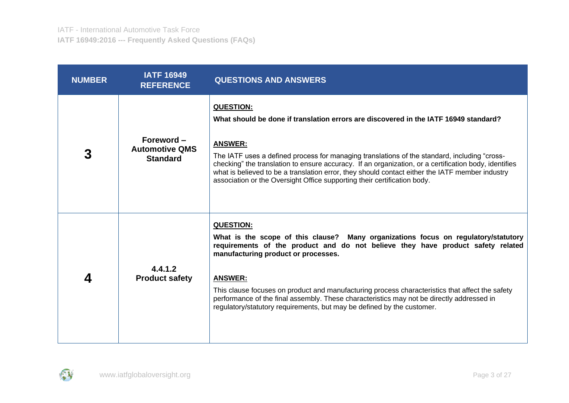| <b>NUMBER</b> | <b>IATF 16949</b><br><b>REFERENCE</b>                  | <b>QUESTIONS AND ANSWERS</b>                                                                                                                                                                                                                                                                                                                                                                                                                                                                                                 |
|---------------|--------------------------------------------------------|------------------------------------------------------------------------------------------------------------------------------------------------------------------------------------------------------------------------------------------------------------------------------------------------------------------------------------------------------------------------------------------------------------------------------------------------------------------------------------------------------------------------------|
| 3             | Foreword -<br><b>Automotive QMS</b><br><b>Standard</b> | <b>QUESTION:</b><br>What should be done if translation errors are discovered in the IATF 16949 standard?<br><b>ANSWER:</b><br>The IATF uses a defined process for managing translations of the standard, including "cross-<br>checking" the translation to ensure accuracy. If an organization, or a certification body, identifies<br>what is believed to be a translation error, they should contact either the IATF member industry<br>association or the Oversight Office supporting their certification body.           |
| 4             | 4.4.1.2<br><b>Product safety</b>                       | <b>QUESTION:</b><br>What is the scope of this clause? Many organizations focus on regulatory/statutory<br>requirements of the product and do not believe they have product safety related<br>manufacturing product or processes.<br><b>ANSWER:</b><br>This clause focuses on product and manufacturing process characteristics that affect the safety<br>performance of the final assembly. These characteristics may not be directly addressed in<br>regulatory/statutory requirements, but may be defined by the customer. |

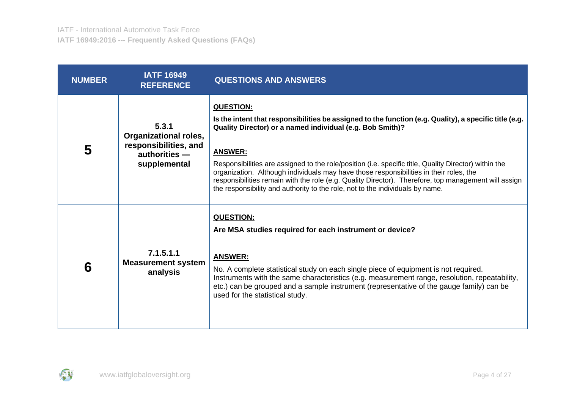| <b>NUMBER</b> | <b>IATF 16949</b><br><b>REFERENCE</b>                                                           | <b>QUESTIONS AND ANSWERS</b>                                                                                                                                                                                                                                                                                                                                                                                                                                                                                                                                                                          |
|---------------|-------------------------------------------------------------------------------------------------|-------------------------------------------------------------------------------------------------------------------------------------------------------------------------------------------------------------------------------------------------------------------------------------------------------------------------------------------------------------------------------------------------------------------------------------------------------------------------------------------------------------------------------------------------------------------------------------------------------|
| 5             | 5.3.1<br><b>Organizational roles,</b><br>responsibilities, and<br>authorities -<br>supplemental | <b>QUESTION:</b><br>Is the intent that responsibilities be assigned to the function (e.g. Quality), a specific title (e.g.<br>Quality Director) or a named individual (e.g. Bob Smith)?<br><b>ANSWER:</b><br>Responsibilities are assigned to the role/position (i.e. specific title, Quality Director) within the<br>organization. Although individuals may have those responsibilities in their roles, the<br>responsibilities remain with the role (e.g. Quality Director). Therefore, top management will assign<br>the responsibility and authority to the role, not to the individuals by name. |
| 6             | 7.1.5.1.1<br><b>Measurement system</b><br>analysis                                              | <b>QUESTION:</b><br>Are MSA studies required for each instrument or device?<br><b>ANSWER:</b><br>No. A complete statistical study on each single piece of equipment is not required.<br>Instruments with the same characteristics (e.g. measurement range, resolution, repeatability,<br>etc.) can be grouped and a sample instrument (representative of the gauge family) can be<br>used for the statistical study.                                                                                                                                                                                  |

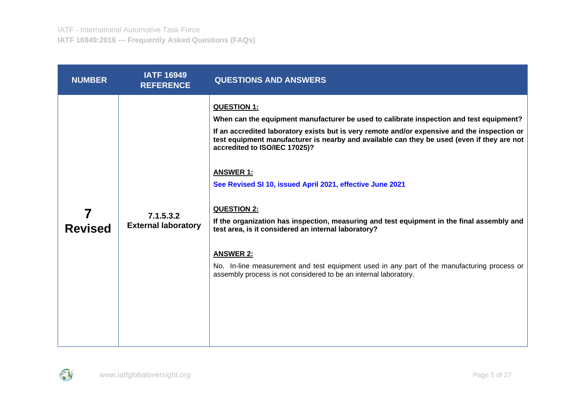| <b>NUMBER</b>  | <b>IATF 16949</b><br><b>REFERENCE</b>   | <b>QUESTIONS AND ANSWERS</b>                                                                                                                                                                                                                                                                                                                                                                                                                                                                                                                                                                                                                                                                                                                                                             |
|----------------|-----------------------------------------|------------------------------------------------------------------------------------------------------------------------------------------------------------------------------------------------------------------------------------------------------------------------------------------------------------------------------------------------------------------------------------------------------------------------------------------------------------------------------------------------------------------------------------------------------------------------------------------------------------------------------------------------------------------------------------------------------------------------------------------------------------------------------------------|
| <b>Revised</b> | 7.1.5.3.2<br><b>External laboratory</b> | QUESTION 1:<br>When can the equipment manufacturer be used to calibrate inspection and test equipment?<br>If an accredited laboratory exists but is very remote and/or expensive and the inspection or<br>test equipment manufacturer is nearby and available can they be used (even if they are not<br>accredited to ISO/IEC 17025)?<br><b>ANSWER 1:</b><br>See Revised SI 10, issued April 2021, effective June 2021<br><b>QUESTION 2:</b><br>If the organization has inspection, measuring and test equipment in the final assembly and<br>test area, is it considered an internal laboratory?<br><b>ANSWER 2:</b><br>No. In-line measurement and test equipment used in any part of the manufacturing process or<br>assembly process is not considered to be an internal laboratory. |
|                |                                         |                                                                                                                                                                                                                                                                                                                                                                                                                                                                                                                                                                                                                                                                                                                                                                                          |

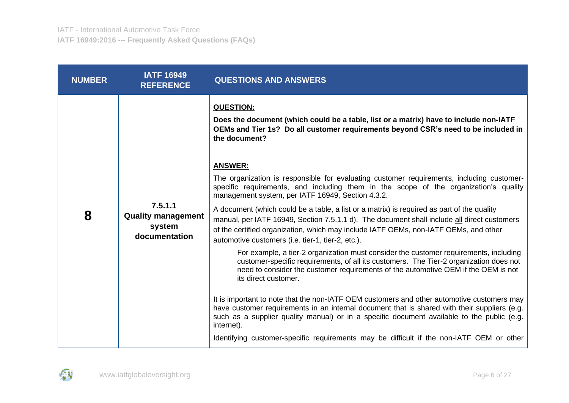| <b>NUMBER</b> | <b>IATF 16949</b><br><b>REFERENCE</b>                           | <b>QUESTIONS AND ANSWERS</b>                                                                                                                                                                                                                                                                                                                                                                                                                                                                                                                                                                                                                                                                                                                                                                                                                                                                                                                                                                                                                                                                                                                                                                                                                                                                                                                                                                                                      |
|---------------|-----------------------------------------------------------------|-----------------------------------------------------------------------------------------------------------------------------------------------------------------------------------------------------------------------------------------------------------------------------------------------------------------------------------------------------------------------------------------------------------------------------------------------------------------------------------------------------------------------------------------------------------------------------------------------------------------------------------------------------------------------------------------------------------------------------------------------------------------------------------------------------------------------------------------------------------------------------------------------------------------------------------------------------------------------------------------------------------------------------------------------------------------------------------------------------------------------------------------------------------------------------------------------------------------------------------------------------------------------------------------------------------------------------------------------------------------------------------------------------------------------------------|
| 8             | 7.5.1.1<br><b>Quality management</b><br>system<br>documentation | <b>QUESTION:</b><br>Does the document (which could be a table, list or a matrix) have to include non-IATF<br>OEMs and Tier 1s? Do all customer requirements beyond CSR's need to be included in<br>the document?<br><b>ANSWER:</b><br>The organization is responsible for evaluating customer requirements, including customer-<br>specific requirements, and including them in the scope of the organization's quality<br>management system, per IATF 16949, Section 4.3.2.<br>A document (which could be a table, a list or a matrix) is required as part of the quality<br>manual, per IATF 16949, Section 7.5.1.1 d). The document shall include all direct customers<br>of the certified organization, which may include IATF OEMs, non-IATF OEMs, and other<br>automotive customers (i.e. tier-1, tier-2, etc.).<br>For example, a tier-2 organization must consider the customer requirements, including<br>customer-specific requirements, of all its customers. The Tier-2 organization does not<br>need to consider the customer requirements of the automotive OEM if the OEM is not<br>its direct customer.<br>It is important to note that the non-IATF OEM customers and other automotive customers may<br>have customer requirements in an internal document that is shared with their suppliers (e.g.<br>such as a supplier quality manual) or in a specific document available to the public (e.g.<br>internet). |
|               |                                                                 | Identifying customer-specific requirements may be difficult if the non-IATF OEM or other                                                                                                                                                                                                                                                                                                                                                                                                                                                                                                                                                                                                                                                                                                                                                                                                                                                                                                                                                                                                                                                                                                                                                                                                                                                                                                                                          |

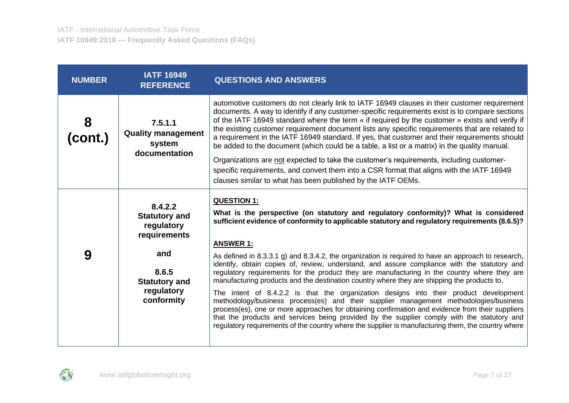| <b>NUMBER</b> | <b>IATF 16949</b><br><b>REFERENCE</b>                                                                                             | <b>QUESTIONS AND ANSWERS</b>                                                                                                                                                                                                                                                                                                                                                                                                                                                                                                                                                                                                                                                                                                                                                                                                                                                                                                                                                                                                                                                                                                      |
|---------------|-----------------------------------------------------------------------------------------------------------------------------------|-----------------------------------------------------------------------------------------------------------------------------------------------------------------------------------------------------------------------------------------------------------------------------------------------------------------------------------------------------------------------------------------------------------------------------------------------------------------------------------------------------------------------------------------------------------------------------------------------------------------------------------------------------------------------------------------------------------------------------------------------------------------------------------------------------------------------------------------------------------------------------------------------------------------------------------------------------------------------------------------------------------------------------------------------------------------------------------------------------------------------------------|
| 8<br>(cont.)  | 7.5.1.1<br><b>Quality management</b><br>system<br>documentation                                                                   | automotive customers do not clearly link to IATF 16949 clauses in their customer requirement<br>documents. A way to identify if any customer-specific requirements exist is to compare sections<br>of the IATF 16949 standard where the term « if required by the customer » exists and verify if<br>the existing customer requirement document lists any specific requirements that are related to<br>a requirement in the IATF 16949 standard. If yes, that customer and their requirements should<br>be added to the document (which could be a table, a list or a matrix) in the quality manual.<br>Organizations are not expected to take the customer's requirements, including customer-<br>specific requirements, and convert them into a CSR format that aligns with the IATF 16949<br>clauses similar to what has been published by the IATF OEMs.                                                                                                                                                                                                                                                                      |
| 9             | 8.4.2.2<br><b>Statutory and</b><br>regulatory<br>requirements<br>and<br>8.6.5<br><b>Statutory and</b><br>regulatory<br>conformity | <b>QUESTION 1:</b><br>What is the perspective (on statutory and regulatory conformity)? What is considered<br>sufficient evidence of conformity to applicable statutory and regulatory requirements (8.6.5)?<br><b>ANSWER 1:</b><br>As defined in 8.3.3.1 g) and 8.3.4.2, the organization is required to have an approach to research,<br>identify, obtain copies of, review, understand, and assure compliance with the statutory and<br>regulatory requirements for the product they are manufacturing in the country where they are<br>manufacturing products and the destination country where they are shipping the products to.<br>The intent of 8.4.2.2 is that the organization designs into their product development<br>methodology/business process(es) and their supplier management methodologies/business<br>process(es), one or more approaches for obtaining confirmation and evidence from their suppliers<br>that the products and services being provided by the supplier comply with the statutory and<br>regulatory requirements of the country where the supplier is manufacturing them, the country where |

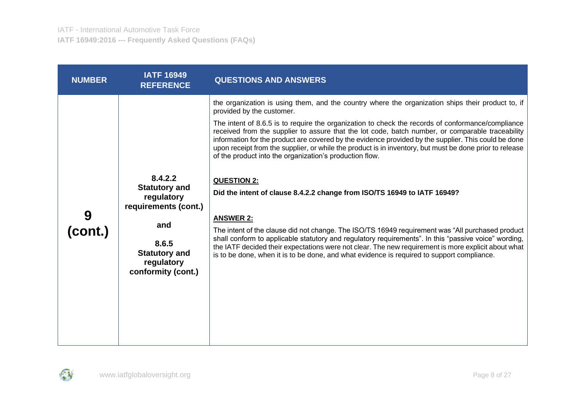| <b>NUMBER</b> | <b>IATF 16949</b><br><b>REFERENCE</b>                                                                                                             | <b>QUESTIONS AND ANSWERS</b>                                                                                                                                                                                                                                                                                                                                                                                                                                                                                                                                                                                                                                                                                                                                                                                                                                                                                                                                                                                                                                                                                                                                  |
|---------------|---------------------------------------------------------------------------------------------------------------------------------------------------|---------------------------------------------------------------------------------------------------------------------------------------------------------------------------------------------------------------------------------------------------------------------------------------------------------------------------------------------------------------------------------------------------------------------------------------------------------------------------------------------------------------------------------------------------------------------------------------------------------------------------------------------------------------------------------------------------------------------------------------------------------------------------------------------------------------------------------------------------------------------------------------------------------------------------------------------------------------------------------------------------------------------------------------------------------------------------------------------------------------------------------------------------------------|
| 9<br>(cont.)  | 8.4.2.2<br><b>Statutory and</b><br>regulatory<br>requirements (cont.)<br>and<br>8.6.5<br><b>Statutory and</b><br>regulatory<br>conformity (cont.) | the organization is using them, and the country where the organization ships their product to, if<br>provided by the customer.<br>The intent of 8.6.5 is to require the organization to check the records of conformance/compliance<br>received from the supplier to assure that the lot code, batch number, or comparable traceability<br>information for the product are covered by the evidence provided by the supplier. This could be done<br>upon receipt from the supplier, or while the product is in inventory, but must be done prior to release<br>of the product into the organization's production flow.<br><b>QUESTION 2:</b><br>Did the intent of clause 8.4.2.2 change from ISO/TS 16949 to IATF 16949?<br><b>ANSWER 2:</b><br>The intent of the clause did not change. The ISO/TS 16949 requirement was "All purchased product"<br>shall conform to applicable statutory and regulatory requirements". In this "passive voice" wording,<br>the IATF decided their expectations were not clear. The new requirement is more explicit about what<br>is to be done, when it is to be done, and what evidence is required to support compliance. |
|               |                                                                                                                                                   |                                                                                                                                                                                                                                                                                                                                                                                                                                                                                                                                                                                                                                                                                                                                                                                                                                                                                                                                                                                                                                                                                                                                                               |

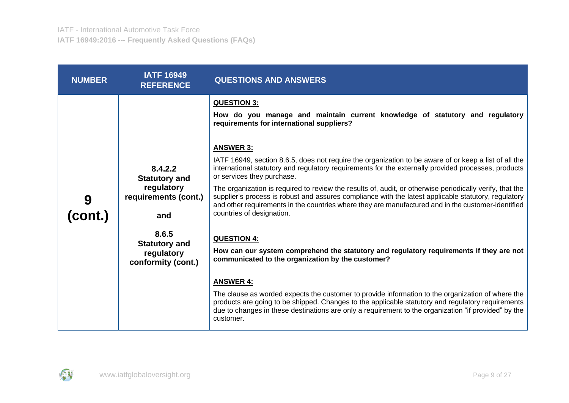| <b>NUMBER</b> | <b>IATF 16949</b><br><b>REFERENCE</b>                                                                                                             | <b>QUESTIONS AND ANSWERS</b>                                                                                                                                                                                                                                                                                                                                                                                                                                                                                                                                                                                                                                                                                                                                                                                                                                                                                                                                                                                                                                                                                                                                                                                                                                                                      |
|---------------|---------------------------------------------------------------------------------------------------------------------------------------------------|---------------------------------------------------------------------------------------------------------------------------------------------------------------------------------------------------------------------------------------------------------------------------------------------------------------------------------------------------------------------------------------------------------------------------------------------------------------------------------------------------------------------------------------------------------------------------------------------------------------------------------------------------------------------------------------------------------------------------------------------------------------------------------------------------------------------------------------------------------------------------------------------------------------------------------------------------------------------------------------------------------------------------------------------------------------------------------------------------------------------------------------------------------------------------------------------------------------------------------------------------------------------------------------------------|
| 9<br>(cont.)  | 8.4.2.2<br><b>Statutory and</b><br>regulatory<br>requirements (cont.)<br>and<br>8.6.5<br><b>Statutory and</b><br>regulatory<br>conformity (cont.) | <b>QUESTION 3:</b><br>How do you manage and maintain current knowledge of statutory and regulatory<br>requirements for international suppliers?<br><b>ANSWER 3:</b><br>IATF 16949, section 8.6.5, does not require the organization to be aware of or keep a list of all the<br>international statutory and regulatory requirements for the externally provided processes, products<br>or services they purchase.<br>The organization is required to review the results of, audit, or otherwise periodically verify, that the<br>supplier's process is robust and assures compliance with the latest applicable statutory, regulatory<br>and other requirements in the countries where they are manufactured and in the customer-identified<br>countries of designation.<br><b>QUESTION 4:</b><br>How can our system comprehend the statutory and regulatory requirements if they are not<br>communicated to the organization by the customer?<br><b>ANSWER 4:</b><br>The clause as worded expects the customer to provide information to the organization of where the<br>products are going to be shipped. Changes to the applicable statutory and regulatory requirements<br>due to changes in these destinations are only a requirement to the organization "if provided" by the<br>customer. |

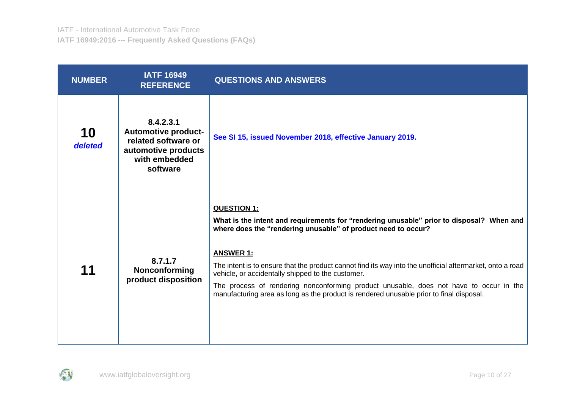| <b>NUMBER</b> | <b>IATF 16949</b><br><b>REFERENCE</b>                                                                              | <b>QUESTIONS AND ANSWERS</b>                                                                                                                                                                                                                                                                                                                                                                                                                                                                                                                               |
|---------------|--------------------------------------------------------------------------------------------------------------------|------------------------------------------------------------------------------------------------------------------------------------------------------------------------------------------------------------------------------------------------------------------------------------------------------------------------------------------------------------------------------------------------------------------------------------------------------------------------------------------------------------------------------------------------------------|
| 10<br>deleted | 8.4.2.3.1<br><b>Automotive product-</b><br>related software or<br>automotive products<br>with embedded<br>software | See SI 15, issued November 2018, effective January 2019.                                                                                                                                                                                                                                                                                                                                                                                                                                                                                                   |
| 11            | 8.7.1.7<br><b>Nonconforming</b><br>product disposition                                                             | <b>QUESTION 1:</b><br>What is the intent and requirements for "rendering unusable" prior to disposal? When and<br>where does the "rendering unusable" of product need to occur?<br><b>ANSWER 1:</b><br>The intent is to ensure that the product cannot find its way into the unofficial aftermarket, onto a road<br>vehicle, or accidentally shipped to the customer.<br>The process of rendering nonconforming product unusable, does not have to occur in the<br>manufacturing area as long as the product is rendered unusable prior to final disposal. |

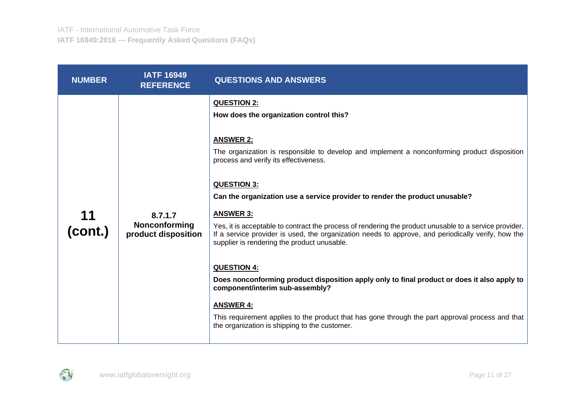| <b>NUMBER</b> | <b>IATF 16949</b><br><b>REFERENCE</b>           | <b>QUESTIONS AND ANSWERS</b>                                                                                                                                                                                                                                                                                                                                                                                                                                                                                                                                                                                                                                                                                                                                                                                                                                                                                                                        |
|---------------|-------------------------------------------------|-----------------------------------------------------------------------------------------------------------------------------------------------------------------------------------------------------------------------------------------------------------------------------------------------------------------------------------------------------------------------------------------------------------------------------------------------------------------------------------------------------------------------------------------------------------------------------------------------------------------------------------------------------------------------------------------------------------------------------------------------------------------------------------------------------------------------------------------------------------------------------------------------------------------------------------------------------|
| (cont.)       | 8.7.1.7<br>Nonconforming<br>product disposition | <b>QUESTION 2:</b><br>How does the organization control this?<br><b>ANSWER 2:</b><br>The organization is responsible to develop and implement a nonconforming product disposition<br>process and verify its effectiveness.<br><b>QUESTION 3:</b><br>Can the organization use a service provider to render the product unusable?<br><b>ANSWER 3:</b><br>Yes, it is acceptable to contract the process of rendering the product unusable to a service provider.<br>If a service provider is used, the organization needs to approve, and periodically verify, how the<br>supplier is rendering the product unusable.<br><b>QUESTION 4:</b><br>Does nonconforming product disposition apply only to final product or does it also apply to<br>component/interim sub-assembly?<br><b>ANSWER 4:</b><br>This requirement applies to the product that has gone through the part approval process and that<br>the organization is shipping to the customer. |

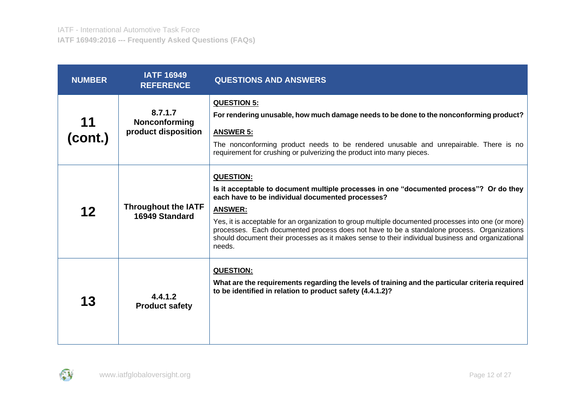| <b>NUMBER</b> | <b>IATF 16949</b><br><b>REFERENCE</b>           | <b>QUESTIONS AND ANSWERS</b>                                                                                                                                                                                                                                                                                                                                                                                                                                                                          |
|---------------|-------------------------------------------------|-------------------------------------------------------------------------------------------------------------------------------------------------------------------------------------------------------------------------------------------------------------------------------------------------------------------------------------------------------------------------------------------------------------------------------------------------------------------------------------------------------|
| 11<br>(cont.) | 8.7.1.7<br>Nonconforming<br>product disposition | <b>QUESTION 5:</b><br>For rendering unusable, how much damage needs to be done to the nonconforming product?<br><b>ANSWER 5:</b><br>The nonconforming product needs to be rendered unusable and unrepairable. There is no<br>requirement for crushing or pulverizing the product into many pieces.                                                                                                                                                                                                    |
| 12            | <b>Throughout the IATF</b><br>16949 Standard    | <b>QUESTION:</b><br>Is it acceptable to document multiple processes in one "documented process"? Or do they<br>each have to be individual documented processes?<br><b>ANSWER:</b><br>Yes, it is acceptable for an organization to group multiple documented processes into one (or more)<br>processes. Each documented process does not have to be a standalone process. Organizations<br>should document their processes as it makes sense to their individual business and organizational<br>needs. |
| 13            | 4.4.1.2<br><b>Product safety</b>                | <b>QUESTION:</b><br>What are the requirements regarding the levels of training and the particular criteria required<br>to be identified in relation to product safety (4.4.1.2)?                                                                                                                                                                                                                                                                                                                      |

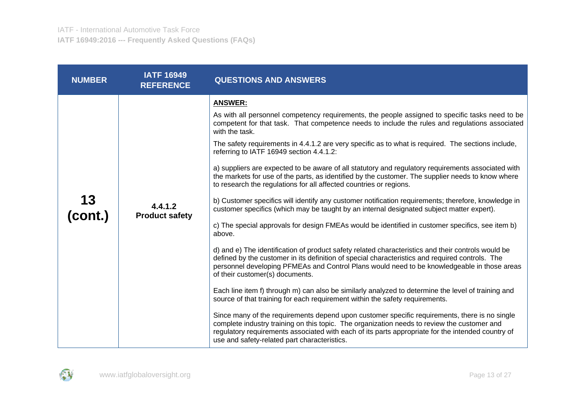| <b>NUMBER</b> | <b>IATF 16949</b><br><b>REFERENCE</b> | <b>QUESTIONS AND ANSWERS</b>                                                                                                                                                                                                                                                                                                                                                                                                                                                                                                                                                                                                                                                                                                                                                                                                                                                                                                                                                                                                                                                                                                                                                                                                                                                                                                                                                                                                                                                                                                                                                                                                                                                                                                                                                                                                                                                     |
|---------------|---------------------------------------|----------------------------------------------------------------------------------------------------------------------------------------------------------------------------------------------------------------------------------------------------------------------------------------------------------------------------------------------------------------------------------------------------------------------------------------------------------------------------------------------------------------------------------------------------------------------------------------------------------------------------------------------------------------------------------------------------------------------------------------------------------------------------------------------------------------------------------------------------------------------------------------------------------------------------------------------------------------------------------------------------------------------------------------------------------------------------------------------------------------------------------------------------------------------------------------------------------------------------------------------------------------------------------------------------------------------------------------------------------------------------------------------------------------------------------------------------------------------------------------------------------------------------------------------------------------------------------------------------------------------------------------------------------------------------------------------------------------------------------------------------------------------------------------------------------------------------------------------------------------------------------|
| 13<br>(cont.) | 4.4.1.2<br><b>Product safety</b>      | <b>ANSWER:</b><br>As with all personnel competency requirements, the people assigned to specific tasks need to be<br>competent for that task. That competence needs to include the rules and regulations associated<br>with the task.<br>The safety requirements in 4.4.1.2 are very specific as to what is required. The sections include,<br>referring to IATF 16949 section 4.4.1.2:<br>a) suppliers are expected to be aware of all statutory and regulatory requirements associated with<br>the markets for use of the parts, as identified by the customer. The supplier needs to know where<br>to research the regulations for all affected countries or regions.<br>b) Customer specifics will identify any customer notification requirements; therefore, knowledge in<br>customer specifics (which may be taught by an internal designated subject matter expert).<br>c) The special approvals for design FMEAs would be identified in customer specifics, see item b)<br>above.<br>d) and e) The identification of product safety related characteristics and their controls would be<br>defined by the customer in its definition of special characteristics and required controls. The<br>personnel developing PFMEAs and Control Plans would need to be knowledgeable in those areas<br>of their customer(s) documents.<br>Each line item f) through m) can also be similarly analyzed to determine the level of training and<br>source of that training for each requirement within the safety requirements.<br>Since many of the requirements depend upon customer specific requirements, there is no single<br>complete industry training on this topic. The organization needs to review the customer and<br>regulatory requirements associated with each of its parts appropriate for the intended country of<br>use and safety-related part characteristics. |

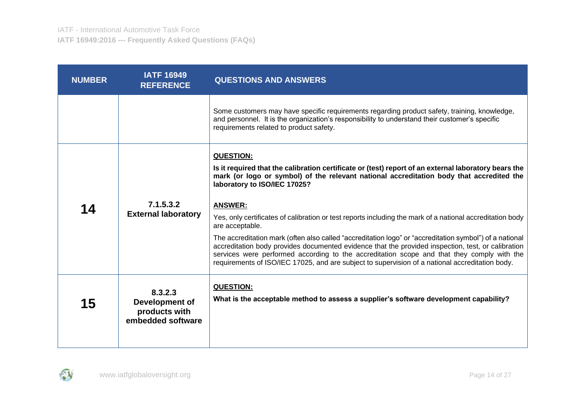| <b>NUMBER</b> | <b>IATF 16949</b><br><b>REFERENCE</b>                           | <b>QUESTIONS AND ANSWERS</b>                                                                                                                                                                                                                                                                                                                                                                                                                                                                                                                                                                                                                                                                                                                                                                                             |
|---------------|-----------------------------------------------------------------|--------------------------------------------------------------------------------------------------------------------------------------------------------------------------------------------------------------------------------------------------------------------------------------------------------------------------------------------------------------------------------------------------------------------------------------------------------------------------------------------------------------------------------------------------------------------------------------------------------------------------------------------------------------------------------------------------------------------------------------------------------------------------------------------------------------------------|
|               |                                                                 | Some customers may have specific requirements regarding product safety, training, knowledge,<br>and personnel. It is the organization's responsibility to understand their customer's specific<br>requirements related to product safety.                                                                                                                                                                                                                                                                                                                                                                                                                                                                                                                                                                                |
| 14            | 7.1.5.3.2<br><b>External laboratory</b>                         | <b>QUESTION:</b><br>Is it required that the calibration certificate or (test) report of an external laboratory bears the<br>mark (or logo or symbol) of the relevant national accreditation body that accredited the<br>laboratory to ISO/IEC 17025?<br><b>ANSWER:</b><br>Yes, only certificates of calibration or test reports including the mark of a national accreditation body<br>are acceptable.<br>The accreditation mark (often also called "accreditation logo" or "accreditation symbol") of a national<br>accreditation body provides documented evidence that the provided inspection, test, or calibration<br>services were performed according to the accreditation scope and that they comply with the<br>requirements of ISO/IEC 17025, and are subject to supervision of a national accreditation body. |
| 15            | 8.3.2.3<br>Development of<br>products with<br>embedded software | <b>QUESTION:</b><br>What is the acceptable method to assess a supplier's software development capability?                                                                                                                                                                                                                                                                                                                                                                                                                                                                                                                                                                                                                                                                                                                |

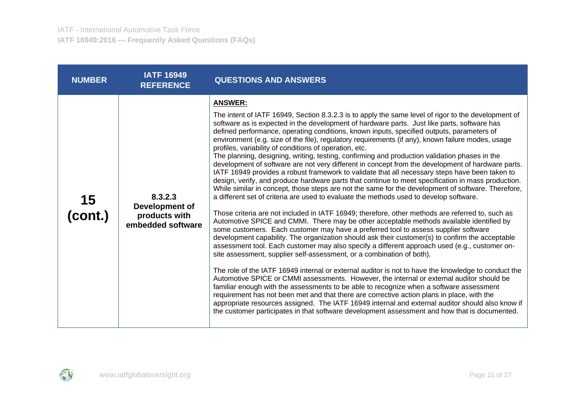| <b>NUMBER</b> | <b>IATF 16949</b><br><b>REFERENCE</b>                           | <b>QUESTIONS AND ANSWERS</b>                                                                                                                                                                                                                                                                                                                                                                                                                                                                                                                                                                                                                                                                                                                                                                                                                                                                                                                                                                                                                                                                                                                                                                                                                                                                                                                                                                                                                                                                                                                                                                                                                                                                                                                                                                                                                                                                                                                                                                                                                                                                                                                                                                                                                                         |
|---------------|-----------------------------------------------------------------|----------------------------------------------------------------------------------------------------------------------------------------------------------------------------------------------------------------------------------------------------------------------------------------------------------------------------------------------------------------------------------------------------------------------------------------------------------------------------------------------------------------------------------------------------------------------------------------------------------------------------------------------------------------------------------------------------------------------------------------------------------------------------------------------------------------------------------------------------------------------------------------------------------------------------------------------------------------------------------------------------------------------------------------------------------------------------------------------------------------------------------------------------------------------------------------------------------------------------------------------------------------------------------------------------------------------------------------------------------------------------------------------------------------------------------------------------------------------------------------------------------------------------------------------------------------------------------------------------------------------------------------------------------------------------------------------------------------------------------------------------------------------------------------------------------------------------------------------------------------------------------------------------------------------------------------------------------------------------------------------------------------------------------------------------------------------------------------------------------------------------------------------------------------------------------------------------------------------------------------------------------------------|
| 15<br>(cont.) | 8.3.2.3<br>Development of<br>products with<br>embedded software | <b>ANSWER:</b><br>The intent of IATF 16949, Section 8.3.2.3 is to apply the same level of rigor to the development of<br>software as is expected in the development of hardware parts. Just like parts, software has<br>defined performance, operating conditions, known inputs, specified outputs, parameters of<br>environment (e.g. size of the file), regulatory requirements (if any), known failure modes, usage<br>profiles, variability of conditions of operation, etc.<br>The planning, designing, writing, testing, confirming and production validation phases in the<br>development of software are not very different in concept from the development of hardware parts.<br>IATF 16949 provides a robust framework to validate that all necessary steps have been taken to<br>design, verify, and produce hardware parts that continue to meet specification in mass production.<br>While similar in concept, those steps are not the same for the development of software. Therefore,<br>a different set of criteria are used to evaluate the methods used to develop software.<br>Those criteria are not included in IATF 16949; therefore, other methods are referred to, such as<br>Automotive SPICE and CMMI. There may be other acceptable methods available identified by<br>some customers. Each customer may have a preferred tool to assess supplier software<br>development capability. The organization should ask their customer(s) to confirm the acceptable<br>assessment tool. Each customer may also specify a different approach used (e.g., customer on-<br>site assessment, supplier self-assessment, or a combination of both).<br>The role of the IATF 16949 internal or external auditor is not to have the knowledge to conduct the<br>Automotive SPICE or CMMI assessments. However, the internal or external auditor should be<br>familiar enough with the assessments to be able to recognize when a software assessment<br>requirement has not been met and that there are corrective action plans in place, with the<br>appropriate resources assigned. The IATF 16949 internal and external auditor should also know if<br>the customer participates in that software development assessment and how that is documented. |

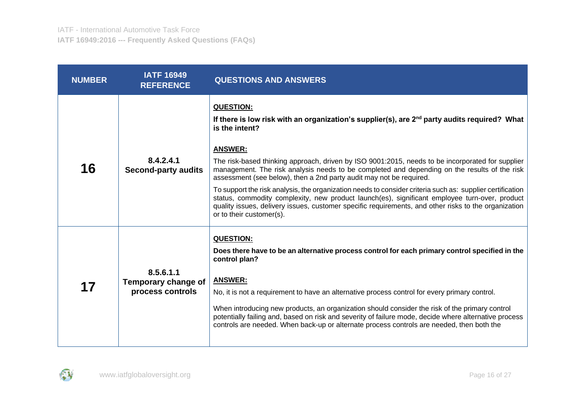| <b>NUMBER</b> | <b>IATF 16949</b><br><b>REFERENCE</b>                | <b>QUESTIONS AND ANSWERS</b>                                                                                                                                                                                                                                                                                                                                                                                                                                                                                                                                                                                                                                                                                                                                                        |
|---------------|------------------------------------------------------|-------------------------------------------------------------------------------------------------------------------------------------------------------------------------------------------------------------------------------------------------------------------------------------------------------------------------------------------------------------------------------------------------------------------------------------------------------------------------------------------------------------------------------------------------------------------------------------------------------------------------------------------------------------------------------------------------------------------------------------------------------------------------------------|
| 16            | 8.4.2.4.1<br><b>Second-party audits</b>              | <b>QUESTION:</b><br>If there is low risk with an organization's supplier(s), are $2nd$ party audits required? What<br>is the intent?<br><b>ANSWER:</b><br>The risk-based thinking approach, driven by ISO 9001:2015, needs to be incorporated for supplier<br>management. The risk analysis needs to be completed and depending on the results of the risk<br>assessment (see below), then a 2nd party audit may not be required.<br>To support the risk analysis, the organization needs to consider criteria such as: supplier certification<br>status, commodity complexity, new product launch(es), significant employee turn-over, product<br>quality issues, delivery issues, customer specific requirements, and other risks to the organization<br>or to their customer(s). |
| 17            | 8.5.6.1.1<br>Temporary change of<br>process controls | <b>QUESTION:</b><br>Does there have to be an alternative process control for each primary control specified in the<br>control plan?<br><b>ANSWER:</b><br>No, it is not a requirement to have an alternative process control for every primary control.<br>When introducing new products, an organization should consider the risk of the primary control<br>potentially failing and, based on risk and severity of failure mode, decide where alternative process<br>controls are needed. When back-up or alternate process controls are needed, then both the                                                                                                                                                                                                                      |

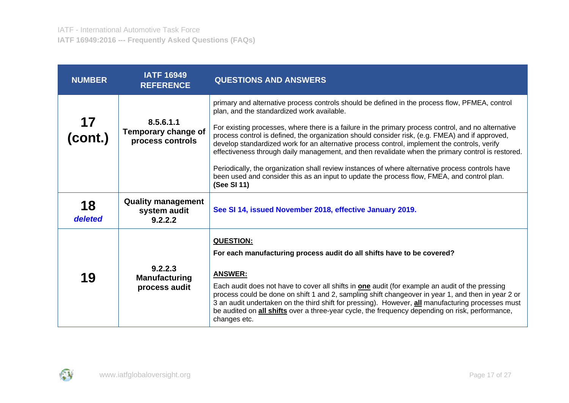| <b>NUMBER</b> | <b>IATF 16949</b><br><b>REFERENCE</b>                | <b>QUESTIONS AND ANSWERS</b>                                                                                                                                                                                                                                                                                                                                                                                                                                                                                                                                                                                                                                    |
|---------------|------------------------------------------------------|-----------------------------------------------------------------------------------------------------------------------------------------------------------------------------------------------------------------------------------------------------------------------------------------------------------------------------------------------------------------------------------------------------------------------------------------------------------------------------------------------------------------------------------------------------------------------------------------------------------------------------------------------------------------|
| 17<br>(cont.) | 8.5.6.1.1<br>Temporary change of<br>process controls | primary and alternative process controls should be defined in the process flow, PFMEA, control<br>plan, and the standardized work available.<br>For existing processes, where there is a failure in the primary process control, and no alternative<br>process control is defined, the organization should consider risk, (e.g. FMEA) and if approved,<br>develop standardized work for an alternative process control, implement the controls, verify<br>effectiveness through daily management, and then revalidate when the primary control is restored.<br>Periodically, the organization shall review instances of where alternative process controls have |
|               |                                                      | been used and consider this as an input to update the process flow, FMEA, and control plan.<br>(See SI 11)                                                                                                                                                                                                                                                                                                                                                                                                                                                                                                                                                      |
| 18<br>deleted | <b>Quality management</b><br>system audit<br>9.2.2.2 | See SI 14, issued November 2018, effective January 2019.                                                                                                                                                                                                                                                                                                                                                                                                                                                                                                                                                                                                        |
| 19            | 9.2.2.3<br><b>Manufacturing</b><br>process audit     | <b>QUESTION:</b><br>For each manufacturing process audit do all shifts have to be covered?<br><b>ANSWER:</b><br>Each audit does not have to cover all shifts in <b>one</b> audit (for example an audit of the pressing<br>process could be done on shift 1 and 2, sampling shift changeover in year 1, and then in year 2 or<br>3 an audit undertaken on the third shift for pressing). However, all manufacturing processes must<br>be audited on <b>all shifts</b> over a three-year cycle, the frequency depending on risk, performance,<br>changes etc.                                                                                                     |

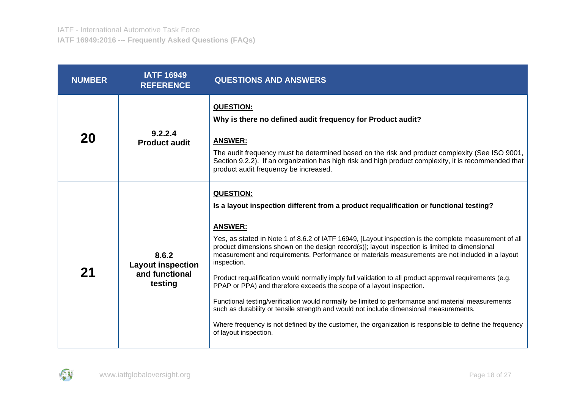| <b>NUMBER</b> | <b>IATF 16949</b><br><b>REFERENCE</b>                          | <b>QUESTIONS AND ANSWERS</b>                                                                                                                                                                                                                                                                                                                                                                                                                                                                                                                                                                                                                                                                                                                                                                                                                                                                                                                                                       |
|---------------|----------------------------------------------------------------|------------------------------------------------------------------------------------------------------------------------------------------------------------------------------------------------------------------------------------------------------------------------------------------------------------------------------------------------------------------------------------------------------------------------------------------------------------------------------------------------------------------------------------------------------------------------------------------------------------------------------------------------------------------------------------------------------------------------------------------------------------------------------------------------------------------------------------------------------------------------------------------------------------------------------------------------------------------------------------|
| 20            | 9.2.2.4<br><b>Product audit</b>                                | <b>QUESTION:</b><br>Why is there no defined audit frequency for Product audit?<br><b>ANSWER:</b><br>The audit frequency must be determined based on the risk and product complexity (See ISO 9001,<br>Section 9.2.2). If an organization has high risk and high product complexity, it is recommended that<br>product audit frequency be increased.                                                                                                                                                                                                                                                                                                                                                                                                                                                                                                                                                                                                                                |
| 21            | 8.6.2<br><b>Layout inspection</b><br>and functional<br>testing | <b>QUESTION:</b><br>Is a layout inspection different from a product requalification or functional testing?<br><b>ANSWER:</b><br>Yes, as stated in Note 1 of 8.6.2 of IATF 16949, [Layout inspection is the complete measurement of all<br>product dimensions shown on the design record(s)]; layout inspection is limited to dimensional<br>measurement and requirements. Performance or materials measurements are not included in a layout<br>inspection.<br>Product requalification would normally imply full validation to all product approval requirements (e.g.<br>PPAP or PPA) and therefore exceeds the scope of a layout inspection.<br>Functional testing/verification would normally be limited to performance and material measurements<br>such as durability or tensile strength and would not include dimensional measurements.<br>Where frequency is not defined by the customer, the organization is responsible to define the frequency<br>of layout inspection. |

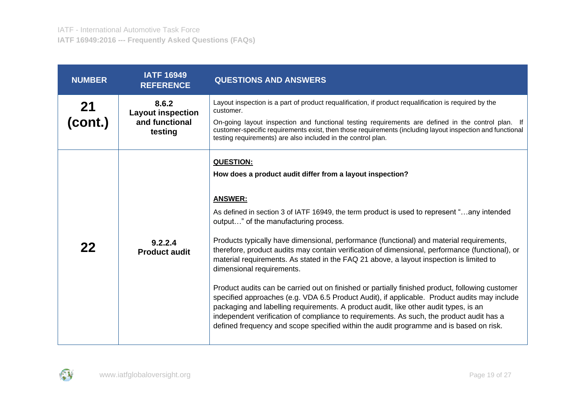| <b>NUMBER</b>   | <b>IATF 16949</b><br><b>REFERENCE</b>                          | <b>QUESTIONS AND ANSWERS</b>                                                                                                                                                                                                                                                                                                                                                                                                                                                                                                                                                                                                                                                                                                                                                                                                                                                                                                                                                                                                                   |
|-----------------|----------------------------------------------------------------|------------------------------------------------------------------------------------------------------------------------------------------------------------------------------------------------------------------------------------------------------------------------------------------------------------------------------------------------------------------------------------------------------------------------------------------------------------------------------------------------------------------------------------------------------------------------------------------------------------------------------------------------------------------------------------------------------------------------------------------------------------------------------------------------------------------------------------------------------------------------------------------------------------------------------------------------------------------------------------------------------------------------------------------------|
| $21$<br>(cont.) | 8.6.2<br><b>Layout inspection</b><br>and functional<br>testing | Layout inspection is a part of product requalification, if product requalification is required by the<br>customer.<br>On-going layout inspection and functional testing requirements are defined in the control plan. If<br>customer-specific requirements exist, then those requirements (including layout inspection and functional<br>testing requirements) are also included in the control plan.                                                                                                                                                                                                                                                                                                                                                                                                                                                                                                                                                                                                                                          |
| 22              | 9.2.2.4<br><b>Product audit</b>                                | <b>QUESTION:</b><br>How does a product audit differ from a layout inspection?<br><b>ANSWER:</b><br>As defined in section 3 of IATF 16949, the term product is used to represent "any intended<br>output" of the manufacturing process.<br>Products typically have dimensional, performance (functional) and material requirements,<br>therefore, product audits may contain verification of dimensional, performance (functional), or<br>material requirements. As stated in the FAQ 21 above, a layout inspection is limited to<br>dimensional requirements.<br>Product audits can be carried out on finished or partially finished product, following customer<br>specified approaches (e.g. VDA 6.5 Product Audit), if applicable. Product audits may include<br>packaging and labelling requirements. A product audit, like other audit types, is an<br>independent verification of compliance to requirements. As such, the product audit has a<br>defined frequency and scope specified within the audit programme and is based on risk. |

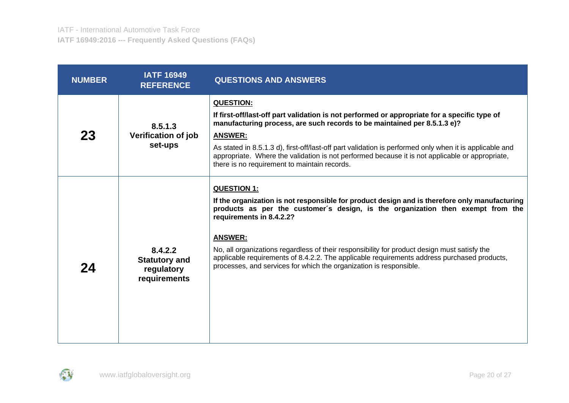| <b>NUMBER</b> | <b>IATF 16949</b><br><b>REFERENCE</b>                         | <b>QUESTIONS AND ANSWERS</b>                                                                                                                                                                                                                                                                                                                                                                                                                                                                                              |
|---------------|---------------------------------------------------------------|---------------------------------------------------------------------------------------------------------------------------------------------------------------------------------------------------------------------------------------------------------------------------------------------------------------------------------------------------------------------------------------------------------------------------------------------------------------------------------------------------------------------------|
| 23            | 8.5.1.3<br><b>Verification of job</b><br>set-ups              | <b>QUESTION:</b><br>If first-off/last-off part validation is not performed or appropriate for a specific type of<br>manufacturing process, are such records to be maintained per 8.5.1.3 e)?<br><b>ANSWER:</b><br>As stated in 8.5.1.3 d), first-off/last-off part validation is performed only when it is applicable and<br>appropriate. Where the validation is not performed because it is not applicable or appropriate,<br>there is no requirement to maintain records.                                              |
| 24            | 8.4.2.2<br><b>Statutory and</b><br>regulatory<br>requirements | <b>QUESTION 1:</b><br>If the organization is not responsible for product design and is therefore only manufacturing<br>products as per the customer's design, is the organization then exempt from the<br>requirements in 8.4.2.2?<br><b>ANSWER:</b><br>No, all organizations regardless of their responsibility for product design must satisfy the<br>applicable requirements of 8.4.2.2. The applicable requirements address purchased products,<br>processes, and services for which the organization is responsible. |

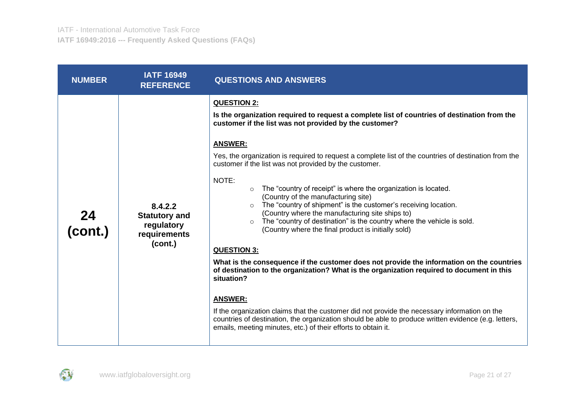| <b>NUMBER</b> | <b>IATF 16949</b><br><b>REFERENCE</b>                                    | <b>QUESTIONS AND ANSWERS</b>                                                                                                                                                                                                                                                                                                                                                                                                                                                                                                                                                                                                                                                                                                                                                                                                                                                                                                                                                                                                                                                                                                                                                                                                                                                                          |
|---------------|--------------------------------------------------------------------------|-------------------------------------------------------------------------------------------------------------------------------------------------------------------------------------------------------------------------------------------------------------------------------------------------------------------------------------------------------------------------------------------------------------------------------------------------------------------------------------------------------------------------------------------------------------------------------------------------------------------------------------------------------------------------------------------------------------------------------------------------------------------------------------------------------------------------------------------------------------------------------------------------------------------------------------------------------------------------------------------------------------------------------------------------------------------------------------------------------------------------------------------------------------------------------------------------------------------------------------------------------------------------------------------------------|
| 24<br>(cont.) | 8.4.2.2<br><b>Statutory and</b><br>regulatory<br>requirements<br>(cont.) | <b>QUESTION 2:</b><br>Is the organization required to request a complete list of countries of destination from the<br>customer if the list was not provided by the customer?<br><b>ANSWER:</b><br>Yes, the organization is required to request a complete list of the countries of destination from the<br>customer if the list was not provided by the customer.<br>NOTE:<br>The "country of receipt" is where the organization is located.<br>$\circ$<br>(Country of the manufacturing site)<br>The "country of shipment" is the customer's receiving location.<br>$\circ$<br>(Country where the manufacturing site ships to)<br>The "country of destination" is the country where the vehicle is sold.<br>$\circ$<br>(Country where the final product is initially sold)<br><b>QUESTION 3:</b><br>What is the consequence if the customer does not provide the information on the countries<br>of destination to the organization? What is the organization required to document in this<br>situation?<br><b>ANSWER:</b><br>If the organization claims that the customer did not provide the necessary information on the<br>countries of destination, the organization should be able to produce written evidence (e.g. letters,<br>emails, meeting minutes, etc.) of their efforts to obtain it. |

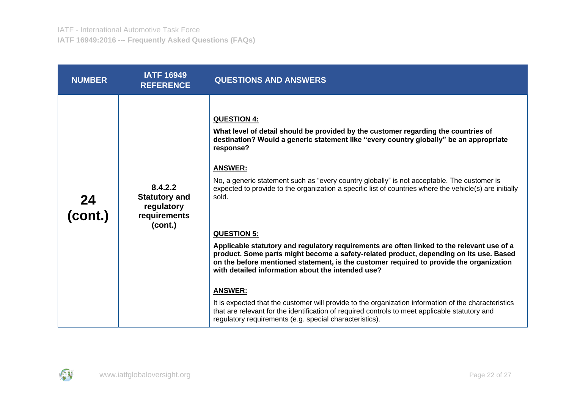| <b>NUMBER</b>   | <b>IATF 16949</b><br><b>REFERENCE</b>                                    | <b>QUESTIONS AND ANSWERS</b>                                                                                                                                                                                                                                                                                                                                                                                                                                                                                                                                                                                                                                                                                                                                                                                                                                                                                                                                                                                                                                                                              |
|-----------------|--------------------------------------------------------------------------|-----------------------------------------------------------------------------------------------------------------------------------------------------------------------------------------------------------------------------------------------------------------------------------------------------------------------------------------------------------------------------------------------------------------------------------------------------------------------------------------------------------------------------------------------------------------------------------------------------------------------------------------------------------------------------------------------------------------------------------------------------------------------------------------------------------------------------------------------------------------------------------------------------------------------------------------------------------------------------------------------------------------------------------------------------------------------------------------------------------|
| $24$<br>(cont.) | 8.4.2.2<br><b>Statutory and</b><br>regulatory<br>requirements<br>(cont.) | <b>QUESTION 4:</b><br>What level of detail should be provided by the customer regarding the countries of<br>destination? Would a generic statement like "every country globally" be an appropriate<br>response?<br><b>ANSWER:</b><br>No, a generic statement such as "every country globally" is not acceptable. The customer is<br>expected to provide to the organization a specific list of countries where the vehicle(s) are initially<br>sold.<br><b>QUESTION 5:</b><br>Applicable statutory and regulatory requirements are often linked to the relevant use of a<br>product. Some parts might become a safety-related product, depending on its use. Based<br>on the before mentioned statement, is the customer required to provide the organization<br>with detailed information about the intended use?<br><b>ANSWER:</b><br>It is expected that the customer will provide to the organization information of the characteristics<br>that are relevant for the identification of required controls to meet applicable statutory and<br>regulatory requirements (e.g. special characteristics). |

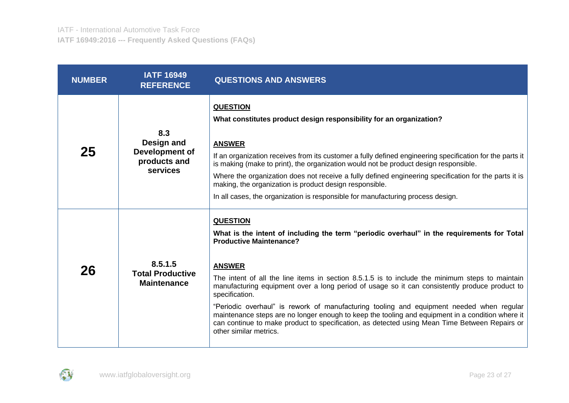| <b>NUMBER</b> | <b>IATF 16949</b><br><b>REFERENCE</b>                                  | <b>QUESTIONS AND ANSWERS</b>                                                                                                                                                                                                                                                                                                                                                                                                                                                                                                                                                                                                                                                                                      |
|---------------|------------------------------------------------------------------------|-------------------------------------------------------------------------------------------------------------------------------------------------------------------------------------------------------------------------------------------------------------------------------------------------------------------------------------------------------------------------------------------------------------------------------------------------------------------------------------------------------------------------------------------------------------------------------------------------------------------------------------------------------------------------------------------------------------------|
| 25            | 8.3<br>Design and<br>Development of<br>products and<br><b>services</b> | <b>QUESTION</b><br>What constitutes product design responsibility for an organization?<br><b>ANSWER</b><br>If an organization receives from its customer a fully defined engineering specification for the parts it<br>is making (make to print), the organization would not be product design responsible.<br>Where the organization does not receive a fully defined engineering specification for the parts it is<br>making, the organization is product design responsible.<br>In all cases, the organization is responsible for manufacturing process design.                                                                                                                                                |
| 26            | 8.5.1.5<br><b>Total Productive</b><br><b>Maintenance</b>               | <b>QUESTION</b><br>What is the intent of including the term "periodic overhaul" in the requirements for Total<br><b>Productive Maintenance?</b><br><b>ANSWER</b><br>The intent of all the line items in section 8.5.1.5 is to include the minimum steps to maintain<br>manufacturing equipment over a long period of usage so it can consistently produce product to<br>specification.<br>"Periodic overhaul" is rework of manufacturing tooling and equipment needed when regular<br>maintenance steps are no longer enough to keep the tooling and equipment in a condition where it<br>can continue to make product to specification, as detected using Mean Time Between Repairs or<br>other similar metrics. |

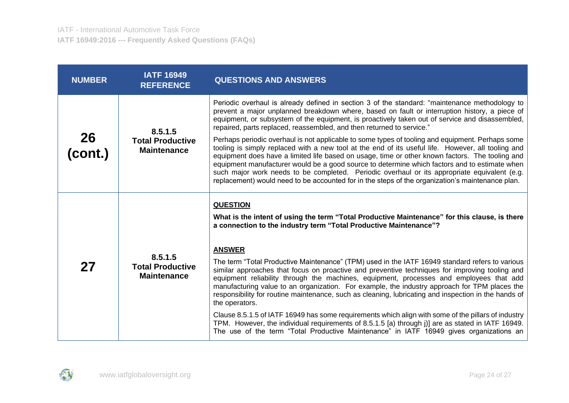| <b>NUMBER</b>        | <b>IATF 16949</b><br><b>REFERENCE</b>                    | <b>QUESTIONS AND ANSWERS</b>                                                                                                                                                                                                                                                                                                                                                                                                                                                                                                                                                                                                                                                                                                                                                                                                                                                                                                                                                                                                             |
|----------------------|----------------------------------------------------------|------------------------------------------------------------------------------------------------------------------------------------------------------------------------------------------------------------------------------------------------------------------------------------------------------------------------------------------------------------------------------------------------------------------------------------------------------------------------------------------------------------------------------------------------------------------------------------------------------------------------------------------------------------------------------------------------------------------------------------------------------------------------------------------------------------------------------------------------------------------------------------------------------------------------------------------------------------------------------------------------------------------------------------------|
| <b>26</b><br>(cont.) | 8.5.1.5<br><b>Total Productive</b><br><b>Maintenance</b> | Periodic overhaul is already defined in section 3 of the standard: "maintenance methodology to<br>prevent a major unplanned breakdown where, based on fault or interruption history, a piece of<br>equipment, or subsystem of the equipment, is proactively taken out of service and disassembled,<br>repaired, parts replaced, reassembled, and then returned to service."<br>Perhaps periodic overhaul is not applicable to some types of tooling and equipment. Perhaps some<br>tooling is simply replaced with a new tool at the end of its useful life. However, all tooling and<br>equipment does have a limited life based on usage, time or other known factors. The tooling and<br>equipment manufacturer would be a good source to determine which factors and to estimate when<br>such major work needs to be completed. Periodic overhaul or its appropriate equivalent (e.g.<br>replacement) would need to be accounted for in the steps of the organization's maintenance plan.                                            |
| 27                   | 8.5.1.5<br><b>Total Productive</b><br><b>Maintenance</b> | <b>QUESTION</b><br>What is the intent of using the term "Total Productive Maintenance" for this clause, is there<br>a connection to the industry term "Total Productive Maintenance"?<br><b>ANSWER</b><br>The term "Total Productive Maintenance" (TPM) used in the IATF 16949 standard refers to various<br>similar approaches that focus on proactive and preventive techniques for improving tooling and<br>equipment reliability through the machines, equipment, processes and employees that add<br>manufacturing value to an organization. For example, the industry approach for TPM places the<br>responsibility for routine maintenance, such as cleaning, lubricating and inspection in the hands of<br>the operators.<br>Clause 8.5.1.5 of IATF 16949 has some requirements which align with some of the pillars of industry<br>TPM. However, the individual requirements of 8.5.1.5 [a) through j)] are as stated in IATF 16949.<br>The use of the term "Total Productive Maintenance" in IATF 16949 gives organizations an |

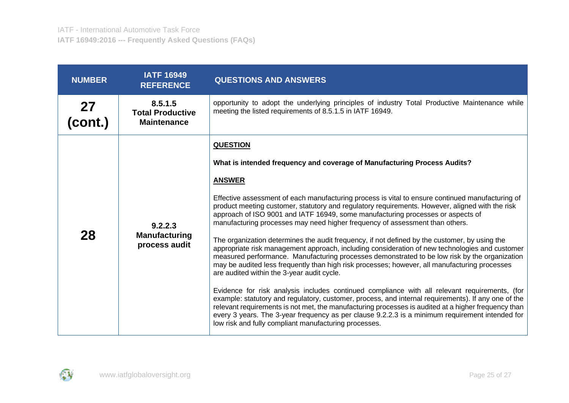| <b>NUMBER</b>        | <b>IATF 16949</b><br><b>REFERENCE</b>                    | <b>QUESTIONS AND ANSWERS</b>                                                                                                                                                                                                                                                                                                                                                                                                                                                                                                                                                                                                                                                                                                                                                                                                                                                                                                                                                                                                                                                                                                                                                                                                                                                                                                                                                                                         |
|----------------------|----------------------------------------------------------|----------------------------------------------------------------------------------------------------------------------------------------------------------------------------------------------------------------------------------------------------------------------------------------------------------------------------------------------------------------------------------------------------------------------------------------------------------------------------------------------------------------------------------------------------------------------------------------------------------------------------------------------------------------------------------------------------------------------------------------------------------------------------------------------------------------------------------------------------------------------------------------------------------------------------------------------------------------------------------------------------------------------------------------------------------------------------------------------------------------------------------------------------------------------------------------------------------------------------------------------------------------------------------------------------------------------------------------------------------------------------------------------------------------------|
| <b>27</b><br>(cont.) | 8.5.1.5<br><b>Total Productive</b><br><b>Maintenance</b> | opportunity to adopt the underlying principles of industry Total Productive Maintenance while<br>meeting the listed requirements of 8.5.1.5 in IATF 16949.                                                                                                                                                                                                                                                                                                                                                                                                                                                                                                                                                                                                                                                                                                                                                                                                                                                                                                                                                                                                                                                                                                                                                                                                                                                           |
| 28                   | 9.2.2.3<br><b>Manufacturing</b><br>process audit         | <b>QUESTION</b><br>What is intended frequency and coverage of Manufacturing Process Audits?<br><b>ANSWER</b><br>Effective assessment of each manufacturing process is vital to ensure continued manufacturing of<br>product meeting customer, statutory and regulatory requirements. However, aligned with the risk<br>approach of ISO 9001 and IATF 16949, some manufacturing processes or aspects of<br>manufacturing processes may need higher frequency of assessment than others.<br>The organization determines the audit frequency, if not defined by the customer, by using the<br>appropriate risk management approach, including consideration of new technologies and customer<br>measured performance. Manufacturing processes demonstrated to be low risk by the organization<br>may be audited less frequently than high risk processes; however, all manufacturing processes<br>are audited within the 3-year audit cycle.<br>Evidence for risk analysis includes continued compliance with all relevant requirements, (for<br>example: statutory and regulatory, customer, process, and internal requirements). If any one of the<br>relevant requirements is not met, the manufacturing processes is audited at a higher frequency than<br>every 3 years. The 3-year frequency as per clause 9.2.2.3 is a minimum requirement intended for<br>low risk and fully compliant manufacturing processes. |

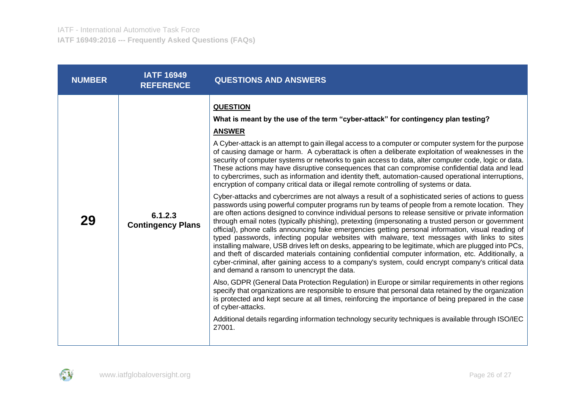| <b>NUMBER</b> | <b>IATF 16949</b><br><b>REFERENCE</b> | <b>QUESTIONS AND ANSWERS</b>                                                                                                                                                                                                                                                                                                                                                                                                                                                                                                                                                                                                                                                                                                                                                                                                                                                                                                                                                                                                                                                                                                                                                                                                                                                                                                                                                                                                                                                                                                                                                                                                                                                                                                                                                                                                                                                                                                                                                                                                                                                                                                                                                                            |
|---------------|---------------------------------------|---------------------------------------------------------------------------------------------------------------------------------------------------------------------------------------------------------------------------------------------------------------------------------------------------------------------------------------------------------------------------------------------------------------------------------------------------------------------------------------------------------------------------------------------------------------------------------------------------------------------------------------------------------------------------------------------------------------------------------------------------------------------------------------------------------------------------------------------------------------------------------------------------------------------------------------------------------------------------------------------------------------------------------------------------------------------------------------------------------------------------------------------------------------------------------------------------------------------------------------------------------------------------------------------------------------------------------------------------------------------------------------------------------------------------------------------------------------------------------------------------------------------------------------------------------------------------------------------------------------------------------------------------------------------------------------------------------------------------------------------------------------------------------------------------------------------------------------------------------------------------------------------------------------------------------------------------------------------------------------------------------------------------------------------------------------------------------------------------------------------------------------------------------------------------------------------------------|
| 29            | 6.1.2.3<br><b>Contingency Plans</b>   | <b>QUESTION</b><br>What is meant by the use of the term "cyber-attack" for contingency plan testing?<br><b>ANSWER</b><br>A Cyber-attack is an attempt to gain illegal access to a computer or computer system for the purpose<br>of causing damage or harm. A cyberattack is often a deliberate exploitation of weaknesses in the<br>security of computer systems or networks to gain access to data, alter computer code, logic or data.<br>These actions may have disruptive consequences that can compromise confidential data and lead<br>to cybercrimes, such as information and identity theft, automation-caused operational interruptions,<br>encryption of company critical data or illegal remote controlling of systems or data.<br>Cyber-attacks and cybercrimes are not always a result of a sophisticated series of actions to guess<br>passwords using powerful computer programs run by teams of people from a remote location. They<br>are often actions designed to convince individual persons to release sensitive or private information<br>through email notes (typically phishing), pretexting (impersonating a trusted person or government<br>official), phone calls announcing fake emergencies getting personal information, visual reading of<br>typed passwords, infecting popular websites with malware, text messages with links to sites<br>installing malware, USB drives left on desks, appearing to be legitimate, which are plugged into PCs,<br>and theft of discarded materials containing confidential computer information, etc. Additionally, a<br>cyber-criminal, after gaining access to a company's system, could encrypt company's critical data<br>and demand a ransom to unencrypt the data.<br>Also, GDPR (General Data Protection Regulation) in Europe or similar requirements in other regions<br>specify that organizations are responsible to ensure that personal data retained by the organization<br>is protected and kept secure at all times, reinforcing the importance of being prepared in the case<br>of cyber-attacks.<br>Additional details regarding information technology security techniques is available through ISO/IEC<br>27001. |